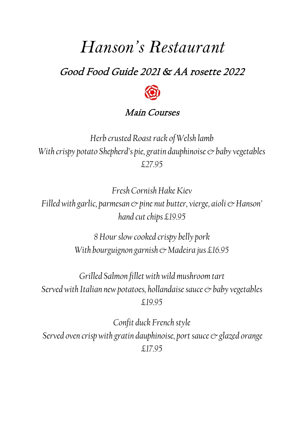# *Hanson's Restaurant*

# Good Food Guide 2021 & AA rosette 2022



## Main Courses

*Herb crusted Roast rack of Welsh lamb With crispy potato Shepherd's pie, gratin dauphinoise*  $\circledcirc$  *baby vegetables £27.95* 

*Fresh Cornish Hake Kiev Filled with garlic, parmesan*  $\infty$  *pine nut butter, vierge, aioli*  $\infty$  *Hanson' hand cut chips £19.95*

> *8 Hour slow cooked crispy belly pork With bourguignon garnish & Madeira jus £16.95*

*Grilled Salmon fillet with wild mushroom tart Served with Italian new potatoes, hollandaise sauce*  $\circ$  *baby vegetables £19.95*

*Confit duck French style Served oven crisp with gratin dauphinoise, port sauce*  $\mathcal O$  *glazed orange £17.95*